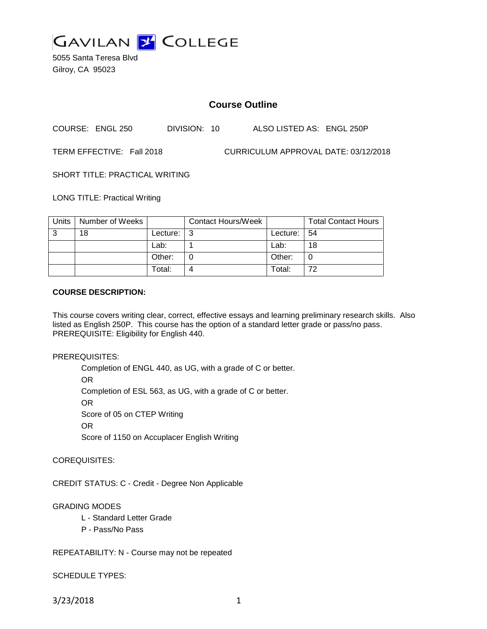

5055 Santa Teresa Blvd Gilroy, CA 95023

## **Course Outline**

COURSE: ENGL 250 DIVISION: 10 ALSO LISTED AS: ENGL 250P

TERM EFFECTIVE: Fall 2018 CURRICULUM APPROVAL DATE: 03/12/2018

SHORT TITLE: PRACTICAL WRITING

LONG TITLE: Practical Writing

| Units | Number of Weeks |          | <b>Contact Hours/Week</b> |             | <b>Total Contact Hours</b> |
|-------|-----------------|----------|---------------------------|-------------|----------------------------|
| ົ     | 18              | Lecture: | ູ                         | Lecture: 54 |                            |
|       |                 | Lab:     |                           | Lab:        | 18                         |
|       |                 | Other:   |                           | Other:      | 0                          |
|       |                 | Total:   |                           | Total:      | 72                         |

#### **COURSE DESCRIPTION:**

This course covers writing clear, correct, effective essays and learning preliminary research skills. Also listed as English 250P. This course has the option of a standard letter grade or pass/no pass. PREREQUISITE: Eligibility for English 440.

PREREQUISITES:

Completion of ENGL 440, as UG, with a grade of C or better. OR Completion of ESL 563, as UG, with a grade of C or better. OR Score of 05 on CTEP Writing OR Score of 1150 on Accuplacer English Writing

COREQUISITES:

CREDIT STATUS: C - Credit - Degree Non Applicable

GRADING MODES

- L Standard Letter Grade
- P Pass/No Pass

REPEATABILITY: N - Course may not be repeated

SCHEDULE TYPES:

3/23/2018 1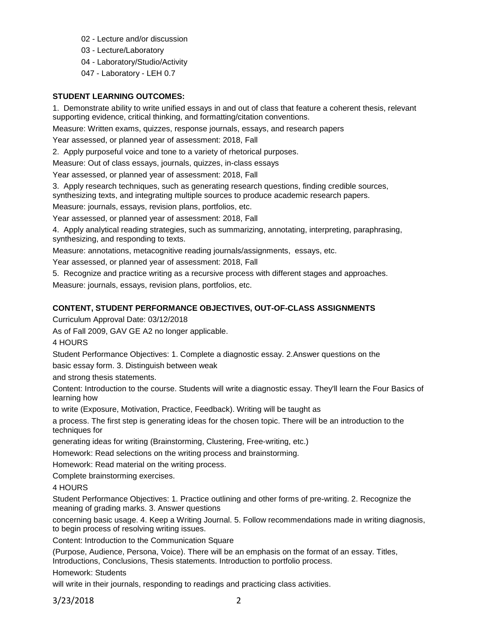- 02 Lecture and/or discussion
- 03 Lecture/Laboratory
- 04 Laboratory/Studio/Activity
- 047 Laboratory LEH 0.7

#### **STUDENT LEARNING OUTCOMES:**

1. Demonstrate ability to write unified essays in and out of class that feature a coherent thesis, relevant supporting evidence, critical thinking, and formatting/citation conventions.

Measure: Written exams, quizzes, response journals, essays, and research papers

Year assessed, or planned year of assessment: 2018, Fall

2. Apply purposeful voice and tone to a variety of rhetorical purposes.

Measure: Out of class essays, journals, quizzes, in-class essays

Year assessed, or planned year of assessment: 2018, Fall

3. Apply research techniques, such as generating research questions, finding credible sources,

synthesizing texts, and integrating multiple sources to produce academic research papers.

Measure: journals, essays, revision plans, portfolios, etc.

Year assessed, or planned year of assessment: 2018, Fall

4. Apply analytical reading strategies, such as summarizing, annotating, interpreting, paraphrasing, synthesizing, and responding to texts.

Measure: annotations, metacognitive reading journals/assignments, essays, etc.

Year assessed, or planned year of assessment: 2018, Fall

5. Recognize and practice writing as a recursive process with different stages and approaches. Measure: journals, essays, revision plans, portfolios, etc.

#### **CONTENT, STUDENT PERFORMANCE OBJECTIVES, OUT-OF-CLASS ASSIGNMENTS**

Curriculum Approval Date: 03/12/2018

As of Fall 2009, GAV GE A2 no longer applicable.

4 HOURS

Student Performance Objectives: 1. Complete a diagnostic essay. 2.Answer questions on the

basic essay form. 3. Distinguish between weak

and strong thesis statements.

Content: Introduction to the course. Students will write a diagnostic essay. They'll learn the Four Basics of learning how

to write (Exposure, Motivation, Practice, Feedback). Writing will be taught as

a process. The first step is generating ideas for the chosen topic. There will be an introduction to the techniques for

generating ideas for writing (Brainstorming, Clustering, Free-writing, etc.)

Homework: Read selections on the writing process and brainstorming.

Homework: Read material on the writing process.

Complete brainstorming exercises.

4 HOURS

Student Performance Objectives: 1. Practice outlining and other forms of pre-writing. 2. Recognize the meaning of grading marks. 3. Answer questions

concerning basic usage. 4. Keep a Writing Journal. 5. Follow recommendations made in writing diagnosis, to begin process of resolving writing issues.

Content: Introduction to the Communication Square

(Purpose, Audience, Persona, Voice). There will be an emphasis on the format of an essay. Titles, Introductions, Conclusions, Thesis statements. Introduction to portfolio process.

Homework: Students

will write in their journals, responding to readings and practicing class activities.

3/23/2018 2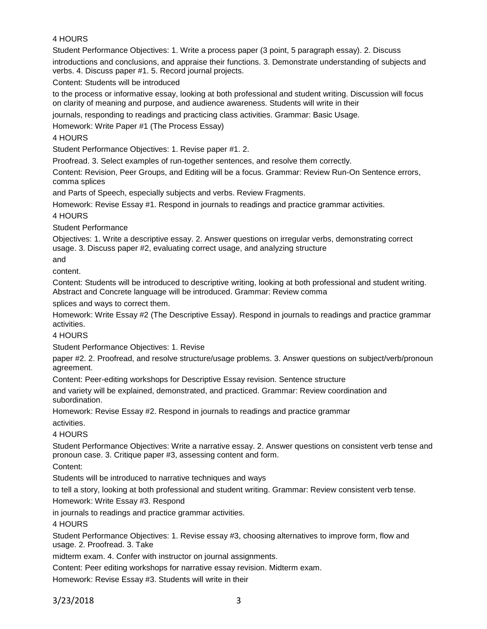### 4 HOURS

Student Performance Objectives: 1. Write a process paper (3 point, 5 paragraph essay). 2. Discuss

introductions and conclusions, and appraise their functions. 3. Demonstrate understanding of subjects and verbs. 4. Discuss paper #1. 5. Record journal projects.

Content: Students will be introduced

to the process or informative essay, looking at both professional and student writing. Discussion will focus on clarity of meaning and purpose, and audience awareness. Students will write in their

journals, responding to readings and practicing class activities. Grammar: Basic Usage.

Homework: Write Paper #1 (The Process Essay)

4 HOURS

Student Performance Objectives: 1. Revise paper #1. 2.

Proofread. 3. Select examples of run-together sentences, and resolve them correctly.

Content: Revision, Peer Groups, and Editing will be a focus. Grammar: Review Run-On Sentence errors, comma splices

and Parts of Speech, especially subjects and verbs. Review Fragments.

Homework: Revise Essay #1. Respond in journals to readings and practice grammar activities.

4 HOURS

Student Performance

Objectives: 1. Write a descriptive essay. 2. Answer questions on irregular verbs, demonstrating correct usage. 3. Discuss paper #2, evaluating correct usage, and analyzing structure

and

content.

Content: Students will be introduced to descriptive writing, looking at both professional and student writing. Abstract and Concrete language will be introduced. Grammar: Review comma

splices and ways to correct them.

Homework: Write Essay #2 (The Descriptive Essay). Respond in journals to readings and practice grammar activities.

4 HOURS

Student Performance Objectives: 1. Revise

paper #2. 2. Proofread, and resolve structure/usage problems. 3. Answer questions on subject/verb/pronoun agreement.

Content: Peer-editing workshops for Descriptive Essay revision. Sentence structure

and variety will be explained, demonstrated, and practiced. Grammar: Review coordination and subordination.

Homework: Revise Essay #2. Respond in journals to readings and practice grammar

activities.

4 HOURS

Student Performance Objectives: Write a narrative essay. 2. Answer questions on consistent verb tense and pronoun case. 3. Critique paper #3, assessing content and form.

Content:

Students will be introduced to narrative techniques and ways

to tell a story, looking at both professional and student writing. Grammar: Review consistent verb tense.

Homework: Write Essay #3. Respond

in journals to readings and practice grammar activities.

4 HOURS

Student Performance Objectives: 1. Revise essay #3, choosing alternatives to improve form, flow and usage. 2. Proofread. 3. Take

midterm exam. 4. Confer with instructor on journal assignments.

Content: Peer editing workshops for narrative essay revision. Midterm exam.

Homework: Revise Essay #3. Students will write in their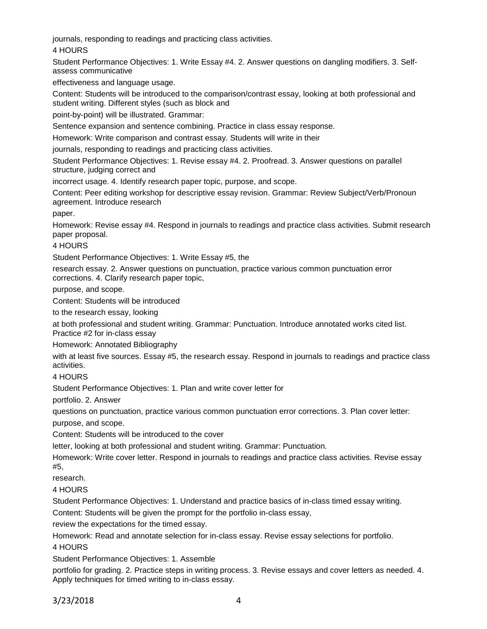journals, responding to readings and practicing class activities.

4 HOURS

Student Performance Objectives: 1. Write Essay #4. 2. Answer questions on dangling modifiers. 3. Selfassess communicative

effectiveness and language usage.

Content: Students will be introduced to the comparison/contrast essay, looking at both professional and student writing. Different styles (such as block and

point-by-point) will be illustrated. Grammar:

Sentence expansion and sentence combining. Practice in class essay response.

Homework: Write comparison and contrast essay. Students will write in their

journals, responding to readings and practicing class activities.

Student Performance Objectives: 1. Revise essay #4. 2. Proofread. 3. Answer questions on parallel structure, judging correct and

incorrect usage. 4. Identify research paper topic, purpose, and scope.

Content: Peer editing workshop for descriptive essay revision. Grammar: Review Subject/Verb/Pronoun agreement. Introduce research

paper.

Homework: Revise essay #4. Respond in journals to readings and practice class activities. Submit research paper proposal.

4 HOURS

Student Performance Objectives: 1. Write Essay #5, the

research essay. 2. Answer questions on punctuation, practice various common punctuation error corrections. 4. Clarify research paper topic,

purpose, and scope.

Content: Students will be introduced

to the research essay, looking

at both professional and student writing. Grammar: Punctuation. Introduce annotated works cited list. Practice #2 for in-class essay

Homework: Annotated Bibliography

with at least five sources. Essay #5, the research essay. Respond in journals to readings and practice class activities.

4 HOURS

Student Performance Objectives: 1. Plan and write cover letter for

portfolio. 2. Answer

questions on punctuation, practice various common punctuation error corrections. 3. Plan cover letter:

purpose, and scope.

Content: Students will be introduced to the cover

letter, looking at both professional and student writing. Grammar: Punctuation.

Homework: Write cover letter. Respond in journals to readings and practice class activities. Revise essay #5,

research.

4 HOURS

Student Performance Objectives: 1. Understand and practice basics of in-class timed essay writing.

Content: Students will be given the prompt for the portfolio in-class essay,

review the expectations for the timed essay.

Homework: Read and annotate selection for in-class essay. Revise essay selections for portfolio. 4 HOURS

Student Performance Objectives: 1. Assemble

portfolio for grading. 2. Practice steps in writing process. 3. Revise essays and cover letters as needed. 4. Apply techniques for timed writing to in-class essay.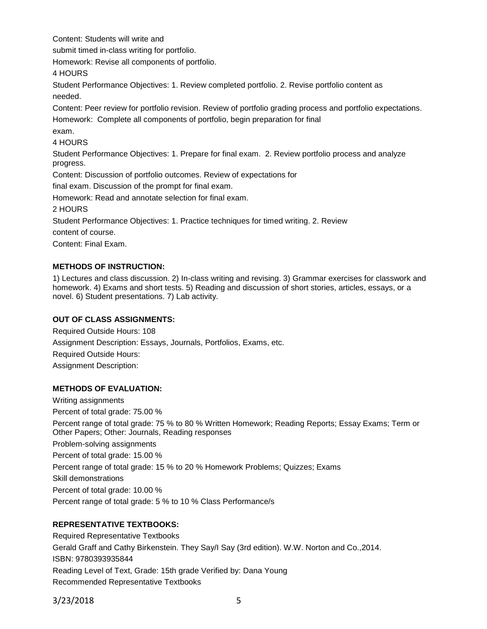Content: Students will write and

submit timed in-class writing for portfolio.

Homework: Revise all components of portfolio.

4 HOURS

Student Performance Objectives: 1. Review completed portfolio. 2. Revise portfolio content as needed.

Content: Peer review for portfolio revision. Review of portfolio grading process and portfolio expectations. Homework: Complete all components of portfolio, begin preparation for final

# exam.

4 HOURS

Student Performance Objectives: 1. Prepare for final exam. 2. Review portfolio process and analyze progress.

Content: Discussion of portfolio outcomes. Review of expectations for

final exam. Discussion of the prompt for final exam.

Homework: Read and annotate selection for final exam.

2 HOURS

Student Performance Objectives: 1. Practice techniques for timed writing. 2. Review

content of course.

Content: Final Exam.

## **METHODS OF INSTRUCTION:**

1) Lectures and class discussion. 2) In-class writing and revising. 3) Grammar exercises for classwork and homework. 4) Exams and short tests. 5) Reading and discussion of short stories, articles, essays, or a novel. 6) Student presentations. 7) Lab activity.

### **OUT OF CLASS ASSIGNMENTS:**

Required Outside Hours: 108 Assignment Description: Essays, Journals, Portfolios, Exams, etc. Required Outside Hours: Assignment Description:

## **METHODS OF EVALUATION:**

Writing assignments Percent of total grade: 75.00 % Percent range of total grade: 75 % to 80 % Written Homework; Reading Reports; Essay Exams; Term or Other Papers; Other: Journals, Reading responses Problem-solving assignments Percent of total grade: 15.00 % Percent range of total grade: 15 % to 20 % Homework Problems; Quizzes; Exams Skill demonstrations Percent of total grade: 10.00 % Percent range of total grade: 5 % to 10 % Class Performance/s

# **REPRESENTATIVE TEXTBOOKS:**

Required Representative Textbooks Gerald Graff and Cathy Birkenstein. They Say/I Say (3rd edition). W.W. Norton and Co.,2014. ISBN: 9780393935844 Reading Level of Text, Grade: 15th grade Verified by: Dana Young Recommended Representative Textbooks

3/23/2018 5